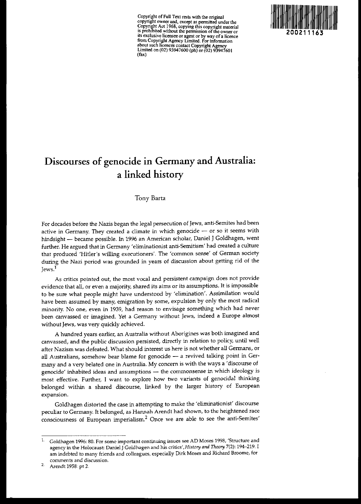**CoPYJ:ight** of Full **Text rests with the original** copyn~t **owner and, except as pennitted under the Copynght Act 1968, copying this copyright material**  $i$ **s** prohibited without the permission of the owner or **Its exc!uslv: hcensee or agent or by way ofa licence from Copynght Agency Limited. For infonnation about such licences contact Copyright Agency** Limited on (02) 93947600 (ph) nr (02) 93947601 (fax)



# **Discourses of genocide in Germany and Australia: a linked history**

Tony Barta

For decades before the Nazis began the legal persecution of Jews, anti-Semites had been **active in Germany. They created a climate in which genOcide - or so it seems with** hindsight - became possible. In 1996 an American scholar, Daniel J Goldhagen, went further. He argued that in Germany 'eliminationist anti-Semitism' had created a culture **that produced 'Hitler's willing executioners'. The 'common sense' of German society** during the Nazi period was grounded in years of discussion about getting rid of the Jews.'

**As critics pointed out, the most vocal and persistent campaign does not provide evidence that all, or even a majority, shared its aims or its assumptions. It is impossible** to be sure what people might have understood by 'elimination'. Assimilation would have been assumed by many, emigration by some, expulsion by only the most radical **minority. No one, even in 1939, had reason to envisage something which had never been canvassed or imagined. Yet a Germany without Jews, indeed a Europe almost** without Jews, was very quickly achieved.

A hundred years earlier, an Australia without Aborigines was both imagined and **canvassed, and the public discussion persisted, directly in relation to policy, until well** after Nazism was defeated. What should interest us here is not whether all Germans, or all Australians, somehow bear blame for genocide - a revived talking point in Germany and a very belated one in Australia. My concern is with the ways a 'discourse of **genocide' inhabited ideas and assumptions - the commonsense in which ideology is** most effective. Further, I want to explore how two variants of genocidal thinking belonged within a shared discourse, linked by the larger history of European **expansion.**

Goldhagen distorted the case in attempting to make the 'eliminationist' discourse peculiar to Germany. It belonged, as Hannah Arendt had shown, to the heightened race **consciousness of European imperialism.<sup>2</sup> Once we are able to see the anti-Semites'**

<sup>2.</sup> Arendt 1958: pt 2.

<sup>1.</sup> **Goldhagen 1996: 80. For some important continuing issues see AD Moses 1998, 'Structure and agency in the Holocaust: Daniel JGoldhagen and his** critics', *History and Theory* **7(2): 194-219. I am indebted to many friends and colleagues, especially Dirk Moses and Richard Broome, for comments and discussion.**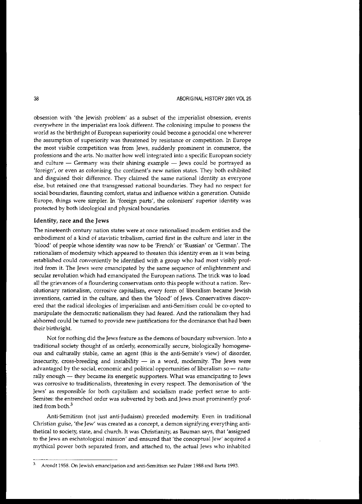**obsession with 'the Jewish problem' as a subset of the imperialist obsession, events everywhere in the imperialist era look different. The colonising impulse to possess the world as the birthright of European superiority could become a genocidal one wherever the assumption of superiority was threatened by resistance or competition. In Europe the most visible competition was from Jews, suddenly prominent in commerce, the** professions and the arts. No matter how well integrated into a specific European society and culture  $-$  Germany was their shining example  $-$  Jews could be portrayed as **'foreign', or even as colonising the continent's new nation states. They both exhibited and disguised their difference. They claimed the same national identity as everyone else, but retained one that transgressed national boundaries. They had no respect for social bOill\daries, flaunting comfort, status and influence within a generation. Outside Europe, things were simpler. In 'foreign parts', the colonisers' superior identity was** protected by both ideological and physical boundaries.

### Identity, race and the Jews

**The nineteenth century nation states were at once rationalised modem entities and the** embodiment of a kind of atavistic tribalism, carried first in the culture and later in the 'blood' of people whose identity was now to be 'French' or 'Russian' or 'German'. The **rationalism of modernity which appeared to threaten this identity even as it was being** established could conveniently be identified with a group who had most visibly prof**ited from it. The Jews were emancipated by the same sequence of enlightenment and secular revolution which had emancipated the European nations. The trick was to load all the grievances of a floundering conservatism onto this people without a nation. Revolutionary rationalism, corrosive capitalism, every form of liberalism became Jewish inventions, carried in the culture, and then the 'blood' of Jews. Conservatives discovered that the radical ideologies of imperialism and anti-Semitism could be co-opted to** manipulate the democratic nationalism they had feared. And the rationalism they had abhorred could be turned to provide new justifications for the dominance that had been their birthright.

**Not for nothing did the Jews feature as the demons of boundary subversion. Into a** traditional society thought of as orderly, economically secure, biologically homogene**ous and culturally stable, came an agent (this is the anti-Semite's view) of disorder,** insecurity, cross-breeding and instability  $-$  in a word, modernity. The Jews were advantaged by the social, economic and political opportunities of liberalism so - natu**rally enough - they became its energetic supporters. What was emancipating to Jews was corrosive to traditionalists, threatening in every respect. The demonisation of 'the** Jews' as responsible for both capitalism and socialism made perfect sense to anti-Semites: the entrenched order was subverted by both and Jews most prominently profited from both.<sup>3</sup>

Anti-Semitism (not just anti-Judaism) preceded modernity. Even in traditional Christian guise, 'the Jew' was created as a concept, a demon signifying everything antithetical to society, state, and church. It was Christianity, as Bauman says, that 'assigned **to the Jews an eschatological mission' and ensured that 'the conceptual Jew' acquired a** mythical power both separated from, and attached to, the actual Jews who inhabited

<sup>3.</sup> **Arcndt 1958. On Jewish emancipation and anti-Semitism see Pulzer 1988 and Barta 1993.**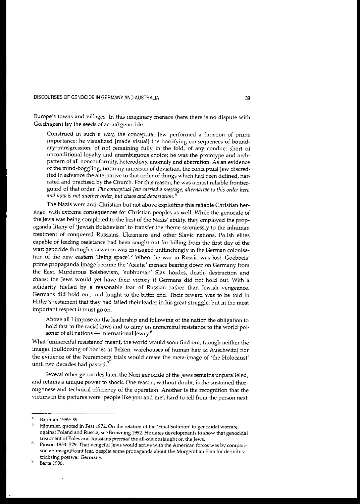**Europe's towns and villages. In this imaginary menace (here there is no dispute with** Goldhagen) lay the seeds of actual genocide.

**Construed in such a way, the conceptual Jew performed a function of prime importance; he visualized [made visual} the horrifying consequences of bound**ary-transgression, of not remaining fully in the fold, of any conduct short of unconditional loyalty and unambiguous choice; he was the prototype and arch**pattern of all nonconformity, heterodoxy, anomaly and aberration. As an evidence** of the mind-boggling, uncanny unreason of deviation, the conceptual Jew discredited in advance the alternative to that order of things which had been defined, nar**rated and practised by the Church. For this reason, he was a most reliable frontier**guard of that order. *The conceptual* Jew *carried a message; alternative* to *this order here and now is not another order, but chaos and devastation.* **4**

The Nazis were anti-Christian but not above exploiting this reliable Christian her**itage, with extreme consequences for Christian peoples as well. While the genocide of** the Jews was being completed to the best of the Nazis' ability, they employed the propaganda litany of 'Jewish Bolshevism' to transfer the theme seamlessly to the inhuman treatment of conquered Russians, Ukranians and other Slavic nations. Polish elites capable of leading resistance had been sought out for killing from the first day of the **war; genocide through starvation was envisaged unflinchingly in the German colonisation of the new eastern 'living space'.5 When the war in Russia was lost, Goebbels' prime propaganda image became the 'Asiatic' menace bearing down on Gennany from** the East. Murderous Bolshevism, 'subhuman' Slav hordes, death, destruction and chaos: the Jews would yet have their victory if Germans did not hold out. With a solidarity fuelled by a reasonable fear of Russian rather than Jewish vengeance, Germans did hold out, and fought to the bitter end. Their reward was to be told in Hitler's testament that they had failed their leader in his great struggle, but in the most **important respect it must go on.**

Above all I impose on the leadership and following of the nation the obligation to **hold fast to the** racial laws **and to carry on unmerciful resistance to the world poisoner of all nations - international Jewry.6**

**What 'unmerciful resistance' meant, the world would soon find out, though neither the images (bulldozing of bodies at Belsen, warehouses of human hair at Auschwitz) nor** the evidence of the Nuremberg trials would create the meta-image of 'the Holocaust' until two decades had passed?

Several other genocides later, the Nazi genocide of the Jews remains unparalleled, **and retains a unique power to shock. One reason, without doubt, is the sustained thor**oughness and technical efficiency of the operation. Another is the recognition that the **victims in the pictures were 'people like you and me', hard to tell from the person next**

 $\frac{4}{5}$  Bauman 1989: 39.

<sup>5.</sup> **Himmler, quoted in Fest 1972. On the relation of the 'Final Solution' to genocidal warfare against Poland and Russia, see Browning 1992. He dates developments to show that genocidal treatment oiPoles and Russians** *preceded* **the all-out onslaught on the Jews.**

<sup>6.</sup> **Pinson 1954: 529. That vengeful Jews would arrive with the American forces was by comparison an insignificant fear, despite some propaganda about the Morgenthau Plan for de-industrialising postwar Germany.**

**<sup>7.</sup> Barta 1996.**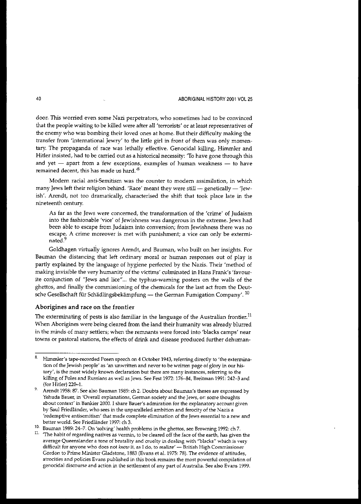door. This worried even some Nazi perpetrators, who sometimes had to be convinced that the people waiting to be killed were after all 'terrorists' or at least representatives of the enemy who was bombing their loved ones at home. But their difficulty making the transfer from 'international Jewry' to the little girl in front of them was only momentary. The propaganda of race was lethally effective. Genocidal killing, Himmler and Hitler insisted, had to be carried out as a historical necessity: 'To have gone through this and yet  $-$  apart from a few exceptions, examples of human weakness  $-$  to have remained decent, this has made us hard.<sup>8</sup>

Modern racial anti-Semitism was the counter to modem assimilation, in which many Jews left their religion behind. 'Race' meant they were still - genetically - 'Jewish'. Arendt, not too dramatically, characterised the shift that took place late in the nineteenth century.

As far as the Jews were concerned, the transformation of the 'crime' of Judaism into the fashionable 'vice' of Jewishness was dangerous in the extreme. Jews had been able to escape from Judaism into conversion; from Jewishness there was no escape. A crime moreover is met with punishment; a vice can only be exterminated.<sup>9</sup>

Goldhagen virtually ignores Arendt, and Bauman, who built on her insights. For Bauman the distancing that left ordinary moral or human responses out of play is partly explained by the language of hygiene perfected by the Nazis. Their 'method of making invisible the very hwnanity of the victims' culminated in Hans Frank's 'favourite conjunction of "Jews and lice"... the typhus-warning posters on the walls of the ghettos, and finally the commissioning of the chemicals for the last act from the Deutsche Gesellschaft für Schädlingsbekämpfung — the German Fumigation Company'.<sup>10</sup>

### Aborigines and race on the frontier

The exterminating of pests is also familiar in the language of the Australian frontier.<sup>11</sup> When Aborigines were being cleared from the land their humanity was already blurred in the minds of many settlers; when the remnants were forced into 'blacks camps' near towns or pastoral stations, the effects of drink and disease produced further dehuman-

10. Bauman 1989: 24-7. On 'solving' health problems in the ghettos, see Browning 1992: ch 7.

<sup>8.</sup> Himmler's tape-recorded Posen speech on 4 October 1943, referring directly to 'the extermination of the Jewish people' as'an unwritten and never to be written page of glory in our history', is the most widely known declaration but there are many instances, referring to the killing of Poles and Russians as well as Jews. See Fest 1972: 176-84, Breitman 1991: 242-3 and (for Hitler) 22o-L

<sup>9.</sup> Arendt 1958: 87. See also Bauman 1989: ch 2. Doubts about Bauman's theses are expressed by Yehuda Bauer, in 'Overall explanations, German society and the Jews, or: some thoughts about context' in Bankier 2000. I share Bauer's admiration for the explanatory account given by Saul Friedländer, who sees in the unparalleled ambition and ferocity of the Nazis a 'redemptive antisemitism' that made complete elimination of the Jews essential to a new and better world. See Friedländer 1997: ch 3.

<sup>&</sup>lt;sup>11.</sup> The habit of regarding natives as vermin, to be cleared off the face of the earth, has given the average Queenslander a tone of brutality and cruelty in dealing with "blacks" which is very difficult for anyone who does not *know* it, as I do, to realize' -- British High Commissioner Gordon to Prime Minister Gladstone, 1883 (Evans et a1. 1975: 78). The evidence of attitudes, atrocities and policies Evans published in this book remains the most powerful compilation of genocidal discourse and action in the settlement of any part of Australia. See also Evans 1999.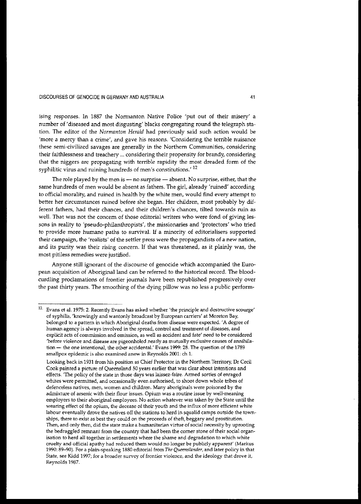**lSmg responses. In 1887 the Nonnanton Native Police 'put out of their misery' a** number of'diseased and most disgusting' blacks congregating round the telegraph station. The editor of the *Normanton Herald* had previously said such action would be **'more a mercy than a crime', and gave his reasons. 'Considering the terrible nuisance these semi-civilized savages are generally in the Northern Communities, considering** their faithlessness and treachery ... considering their propensity for brandy, considering that the niggers are propagating with terrible rapidity the most dreaded form of the **syphilitic virus and ruining hundreds of men's constitutions.' 12**

The role played by the men is  $-$  no surprise  $-$  absent. No surprise, either, that the same hundreds of men would be absent as fathers. The girl, already 'ruined' according to official morality, and ruined in health by the white men, would find every attempt to better her circumstances ruined before she began. Her children, most probably by different fathers, had their chances, and their children's chances, tilted towards ruin as **well. That was not the concern of those editorial writers who were fond of giving lessons in reality to 'pseudo-philanthropists', the missionaries and 'protectors' who tried to provide more humane paths to survival. If a minority of editorialisers supported their campaign, the 'realists' of the settler press were the propagandists of a new nation,** and its purity was their rising concern. If that was threatened, as it plainly was, the **most pitiless remedies were justified.**

Anyone still ignorant of the discourse of genocide which accompanied the Euro**pean acquisition of** Aboriginal land **can be referred to the historical record. The blood**curdling proclamations of frontier journals have been republished progressively over the past thirty years. The smoothing of the dying pillow was no less a public perform-

**<sup>12.</sup> Evans et a1. 1975: 2. Recently Evans has asked whether 'the principle and destructive scourge' of syphilis, 'knowingly and wantonly broadcast by EUIopean carriers' at Moreton Bay, belonged to a pattern in which Aboriginal deaths from disease were expected. 'A degree of human agency is always involved in the spread, control and treatment of diseases, and explicit acts of commission and omission, as well as accident and fate' need to be considered 'before violence and disease are pigeonholed neatly as mutually exclusive causes of annihilation - the one intentional, the other accidental.' Evans 1999: 28. The question of the 1789 smallpox epidemic is also examined anew in Reynolds 2001: ch 1.**

**Looking back in 1931 from his position as Chief Protector in the Northern Territory, Or Cecil Cook painted a picture of Queensland 50 years earlier that was clear about intentions and effects. 'The policy of the state in those days was laissez-faire. Armed sorties of enraged whites were permitted, and occasionally even authorised, to shoot down whole tribes of defenceless natives, men, women and children. Many aboriginals were poisoned by the admixture of arsenic with their flOUI issues. Opium was a routine issue by well-meaning employers to their aboriginal employees. No action whatever was taken by the State Wltil the wearing effect of the opium, the decease of their youth and the influx of more efficient white** labour eventually drove the natives off the stations to herd in squalid camps outside the town**ships, there to exist as best they could on the proceeds of theft, beggary and prostitution. Then, and only then, did the state make a humanitarian virtue of social necessity by uprooting the bedraggled rerrmant from the country that had been the corner stone of their social organisation to herd all together in settlements where the shame and degradation to which white cruelty and official apathy had reduced them would no longer be publicly apparent' (Markus 1990: 89-90). For a plain-speaking 1880 editorial from** *The Queenslander,* **and later policy in that State, see Kidd 1997; for a broader survey of frontier violence, and the ideology that drove it,** Reynolds 1987.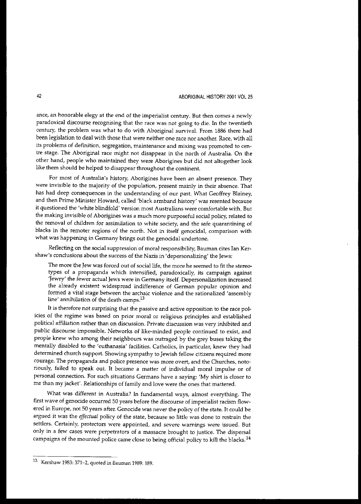**ance, an honorable elegy at the end of the imperialist century. But then comes a newly paradoxical discourse recognising that the race was not going to die. In the twentieth** century, the problem was what to do with Aboriginal survival. From 1886 there had been legislation to deal with those that were neither one race nor another. Race, with all **its problems of definition, segregation, maintenance and mixing was promoted to cen**tre stage. The Aboriginal race might not disappear in the north of Australia. On the other hand, people who maintained they were Aborigines but did not altogether look like them should be helped to disappear throughout the continent.

**For most of Australia's history, Aborigines have been an absent presence. They were invisible to the majority of the population, present mainly in their absence. That** has had deep consequences in the understanding of our past. What Geoffrey Blainey, and then Prime Minister Howard, called 'black armband history' was resented because it questioned the 'white blindfold' version most Australians were comfortable with. But the making invisible of Aborigines was a much more purposeful social policy, related to **the removal of children for assimilation to white society, and the safe quarantining of blacks in the remoter regions of the north. Not in itself genocidal, comparison with** what was happening in Germany brings out the genocidal undertone.

**Reflecting on the social suppression of moral responsibility, Bauman cites lan Kershaw's conclusions about the success of the Nazis in 'depersonalizing' the Jews:**

**The more the Jew was forced out of** social life, **the more he seemed to fit the stereo**types of a propaganda which intensified, paradoxically, its campaign against **'Jewry' the fewer actual Jews were in Germany itself. Depersonalization increased** the already existent widespread indifference of German popular opinion and formed a vital stage between the archaic violence and the rationalized 'assembly **line' annihilation of the death camps.13**

**It is therefore not surprising that the passive and active opposition to the race policies of the regime was based on prior moral or religious principles and established political affiliation rather than on discussion. Private discussion was very inhibited and** public discourse impossible. Networks of like-minded people continued to exist, and people knew who among their neighbours was outraged by the grey buses taking the mentally disabled to the 'euthanasia' facilities. Catholics, in particular, knew they had determined church support. Showing sympathy to Jewish fellow citizens required more **courage. The propaganda and police presence was more overt, and the Churches, noto**riously, failed to speak out. It became a matter of individual moral impulse or of **personal connection. For such situations Germans have a saying: 'My shirt is closer to** me than my jacket'. Relationships of family and love were the ones that mattered.

What was different in Australia? In fundamental ways, almost everything. The **first wave of genocide occurred 50 years before the discourse of imperialist racism flow**ered in Europe, not 50 years after. Genocide was never the policy of the state. It could be argued it was the *effectual* policy of the state, because so little was done to restrain the **settlers. Certainly, protectors were appointed, and severe warnings were issued. But only in a few cases were perpetrators of a massacre brought to justice. The dispersal** campaigns of the mounted police came close to being official policy to kill the blacks.<sup>14</sup>

<sup>13.</sup> **Kershaw 1983: 371-2, quoted in Bauman 1989: 189.**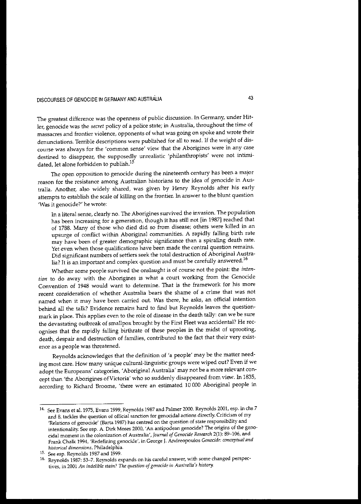**The greatest difference was the openness of public discussion. In Germany, under Hit**ler, genocide was the *secret* policy of a police state; in Australia, throughout the time of **massacres and frontier violence, opponents of what was going on spoke and wrote their** denunciations. Terrible descriptions were published for all to read. If the weight of dis**course was always for the 'common sense' view that the Aborigines were in any case** destined to disappear, the supposedly unrealistic 'philanthropists' were not intimidated, let alone forbidden to publish.<sup>15</sup>

**The open opposition to genocide during the nineteenth century has been a major reason for the resistance among Australian historians to the idea of genocide in Aus**tralia. Another, also widely shared, was given by Henry Reynolds after his early attempts to establish the scale of killing on the frontier. In answer to the blunt question **'Was it genocide?' he wrote:**

In a literal sense, clearly no. The Aborigines survived the invasion. The population has been increasing for a generation, though it has still not [in 1987J reached that of 1788. Many of those who died did so from disease; others were killed in an upsurge of conflict within Aboriginal communities. A rapidly falling birth rate may have been of greater demographic significance than a spiraling death rate. **Yet even when those qualifications have been made the central question remains.** Did significant numbers of settlers seek the total destruction of Aboriginal Austra**lia? It is an important and complex question and must be carefully answered.<sup>16</sup>**

Whether some people survived the onslaught is of course not the point: the *intention* to do away with the Aborigines is what a court working from the Genocide Convention of 1948 would want to determine. That is the framework for his more **recent consideration of whether Australia bears the shame of a crime that was not named when it may have been carried out. Was there, he asks, an official intention** behind all the talk? Evidence remains hard to find but Reynolds leaves the questionmark in place. This applies even to the role of disease in the death tally: can we be sure the devastating outbreak of smallpox brought by the First Fleet was accidental? He recognises that the rapidly falling birthrate of these peoples in the midst of uprooting, death, despair and destruction of families, contributed to the fact that their very exist**ence as a people was threatened.**

Reynolds acknowledges that the definition of 'a people' may be the matter need**ing most care. How many unique cultural-linguistic groups were wiped out? Even if we** adopt the Europeans' categories, 'Aboriginal Australia' may not be a more relevant concept than 'the Aborigines ofVictoria' who so suddenly disappeared from view. In 1835, according to Richard Broome, 'there were an estimated 10000 Aboriginal people in

<sup>14.</sup> See Evans et al. 1975, Evans 1999, Reynolds 1987 and Palmer 2000. Reynolds 2001, esp. in chs 7 **and 8, tackles the question of official sanction for genocidal actions directly. Criticism of my 'Relations of genocide' (Barta 1987) has centred on the question of state responsibility and intentionality. See esp. A. Dirk Moses 2000, 'An antipodean genocide? The origins of the genocidal moment in the colonization of Australia',** *Journal ofGenocide Research* **2(1): 89-106, and Frank Chalk 1994, 'Redefining genocide', in George J. Andreopoulos** *Genocide: conceptual and historical dimensions,* **Philadelphia.**

**<sup>15.</sup> See esp. Reynolds 1987 and 1999.**

**<sup>16.</sup> Reynolds 1987: 53-7. Reynolds expands on his careful answer, with some changed perspectives, in 2001** *An indelible stain? The question of genocide in Australia's history.*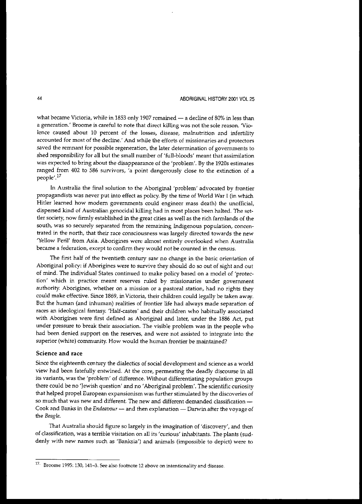what became Victoria, while in 1853 only 1907 remained  $-$  a decline of 80% in less than **a generation.' Broorne is careful to note that direct killing was not the sole reason. 'Violence caused about 10 percent of the losses, disease, malnutrition and infertility accounted for most of the decline.' And while the efforts of missionaries and protectors saved the remnant for possible regeneration, the later determination of governments to** shed responsibility for all but the small number of 'full-bloods' meant that assimilation was expected to bring about the disappearance of the 'problem'. By the 1920s estimates ranged from 402 to 586 survivors, 'a point dangerously close to the extinction of a people'.<sup>17</sup>

In Australia the final solution to the Aboriginal 'problem' advocated by frontier propagandists was never put into effect as policy. By the time of World War I (in which Hitler learned how modem governments could engineer mass death) the unofficial, dispersed kind of Australian genocidal killing had in most places been halted. The settler society, now firmly established in the great cities as well as the rich farmlands of the **south, was so securely separated from the remaining Indigenous population, concentrated in the north, that their race consciousness was largely directed towards the new** 'Yellow Peril' from Asia. Aborigines were almost entirely overlooked when Australia **became a federation, except to confirm they would not be counted in the census.**

**The first half of the twentieth century saw no change in the basic orientation of** Aboriginal policy: if Aborigines were to survive they should do so out of sight and out of mind. The individual States continued to make policy based on a model of 'protec**tion' which in practice meant reserves ruled by missionaries under government authority. Aborigines, whether on a mission or a pastoral station, had no rights they** could make effective. Since 1869, inVictoria, their children could legally be taken away. But the human (and inhuman) realities of frontier life had always made separation of races an ideological fantasy. 'Half-castes' and their children who habitually associated with Aborigines were first defined as Aboriginal and later, under the 1886 Act, put **under pressure to break their association. The visible problem was in the people who** had been denied support on the reserves, and were not assisted to integrate into the superior (white) community. How would the human frontier be maintained?

#### Science and race

Since the eighteenth century the dialectics of social development and science as a world view had been fatefully entwined. At the core, permeating the deadly discourse in all its variants, was the 'problem' of difference. Without differentiating population groups there could be no 'Jewish question' and no 'Aboriginal problem'. The scientific curiosity that helped propel European expansionism was further stimulated by the discoveries of so much that was new and different. The new and different demanded classification -Cook and Banks in the *Endeavour* - and then explanation - Darwin after the voyage of the *Beagle.*

That Australia should figure so largely in the imagination of 'discovery', and then of classification, was a terrible visitation on all its 'curious' inhabitants. The plants (sud**denly with new names such as 'Banksia') and animals (impossible to depict) were to**

**<sup>17.</sup> Broome 1995: 130, 141-3. See also footnote 12 above on intentionality and iisease.**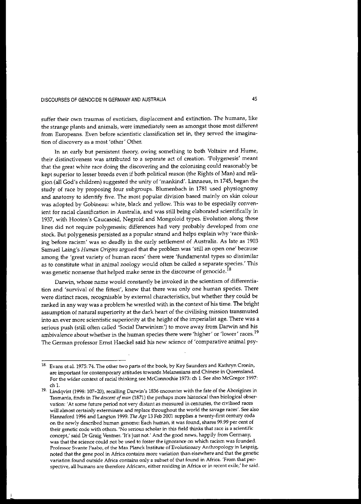**suffer their own traumas of exoticism, displacement and extinction. The humans, like the strange plants and animals, were immediately seen as amongst those most different from Europeans. Even before scientistic classification set in, they served the imagination of discovery as a most 'other' Other.**

In an early but persistent theory, owing something to both Voltaire and Hume, **their distinctiveness was attributed to a separate act of creation. 'Polygenesis' meant** that the great white race doing the discovering and the colonising could reasonably be kept superior to lesser breeds even if both political reason (the Rights of Man) and religion (all God's children) suggested the unity of 'mankind'. Linnaeus, in 1745, began the study of race by proposing four subgroups. Blumenbach in 1781 used physiognomy and anatomy to identify five. The most popular division based mainly on skin colour was adopted by Gobineau: white, black and yellow. This was to be especially conven**ient for racial classification in Australia, and was still being elaborated scientifically in** 1937, with Hooten's Caucasoid, Negroid and Mongoloid types. Evolution along these lines did not require polygenesis; differences had very probably developed from one stock. But polygenesis persisted as a popular strand and helps explain why 'race thinking before racism' was so deadly in the early settlement of Australia. As late as 1903 **Samuel Laing's** *Human Origins* **argued that the problem was 'still an open one' because among the 'great variety of human races' there were 'fundamental types so dissimilar as to constitute what in animal zoology would often be called a separate species.' This was genetic nonsense that helped make sense in the discourse of** genocide.IS

**Darwin, whose name would constantly be invoked in the scientism of differentiation and 'survival of the fittest', knew that there was only one human species. There** were distinct races, recognisable by external characteristics, but whether they could be ranked in any way was a problem he wrestled with in the context of his time. The bright **assumption of natural superiority at the dark heart of the civilising mission transmuted into an ever more scientistic superiority at the height of the imperialist age. There was a** serious push (still often called 'Social Darwinism') to move away from Darwin and his **ambivalence about whether in the human species there were 'higher' or 'lower' races. <sup>19</sup> The German professor Emst Haeckel said his new science of 'comparative animal psy-**

<sup>&</sup>lt;sup>18.</sup> Evans et al. 1975: 74. The other two parts of the book, by Kay Saunders and Kathryn Cronin, **are important for contemporary attitudes towards Melanesians and Chinese in Queensland. For the wider context of racial thinking see McConnochie 1973: ch 1. See also McGregor 1997:** ch l.

**<sup>19.</sup> Lindqvist (1998: 107-20), recalling Darwin's 1836 encounter with the fate of the Aborigines in Tasmania, finds in** *The descent ofman* **(1871) the perhaps more historical than biological observation: 'At some future period not very distant as measured in centuries, the civilised races will almost certainly exterminate and replace throughout the world the savage races'. See also** Hannaford 1996 and Langton 1999. *The Age* 13 Feb *2001* supplies a twenty-first century coda **on the newly described human genome: Each human, it was fOW1d, shares 99.99 per cent of their genetic code with others. 'No serious scholar in** *this* **field thinks that race is a scientific concept,' said Dr Graig Ventner. 'It's just not.' And the good news, happily from Germany, was that the science could not be used to foster the ignorance on which racism was founded. Professor Svante Paabo, of the Max Planck Institute of Evolutionary Anthropology in Leipzig, noted that the gene pool in Africa contains more variation than elsewhere and that the genetic variation found outside Africa contains only a subset of that found in Africa. 'From that perspective, all humans are therefore Africans, either residing in Africa or in recent exile,' he said.**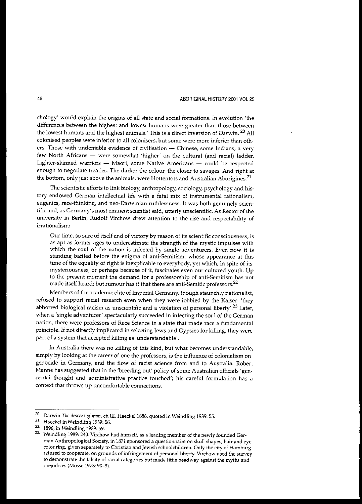**chology' would explain the origins of all state and social formations. In evolution 'the** differences between the highest and lowest humans were greater than those between the lowest humans and the highest animals.' This is a direct inversion of Darwin.<sup>20</sup> All **colonised peoples were inferior to all colonisers, but some were more inferior than others. Those with undeniable evidence of civilisation - Chinese, some Indians, a very** few North Africans - were somewhat 'higher' on the cultural (and racial) ladder. **Lighter-skinned warriors - Maori, some Native Americans - could be respected** enough to negotiate treaties. The darker the colour, the closer to savages. And right at **the bottom, only just above the animals, were Hottentots and Australian Aborigines.<sup>21</sup>**

The scientistic efforts to link biology, anthropology, sociology, psychology and his**tory endowed German intellectual life with a fatal mix of instrumental rationalism, eugenics, race-thinking, and nee-Darwinian ruthlessness. It was both genuinely scientific and, as Germany's most eminent scientist said, utterly unscientific. As Rector of the university in Berlin, Rudolf Virchow drew attention to the rise and respectability of irrationalism:**

**Our time, so sure of itself and of victory by reason of its scientific consciousness, is as apt as former ages to underestimate the strength of the mystic impulses with which the soul of the nation is infected by Single adventurers. Even now it is** standing baffled before the enigma of anti-Semitism, whose appearance at this time of the equality of right is inexplicable to everybody, yet which, in spite of its **mysteriousness, or perhaps because of it, fascinates even our cultured youth. Up to the present moment the demand for a professorship of anti-Semitism has not made itself heard; but rumour has it that there are anti-Semitic professors.<sup>22</sup>**

Members of the academic elite of Imperial Germany, though staunchly nationalist, refused to support racial research even when they were lobbied by the Kaiser: 'they abhorred biological racism as unscientific and a violation of personal liberty'.<sup>23</sup> Later, when a 'single adventurer' spectacularly succeeded in infecting the soul of the German **nation, there were professors of Race Science in a state that made race a fundamental** principle. If not directly implicated in selecting Jews and Gypsies for killing, they were part of a system that accepted killing as 'understandable'.

In Australia there was no killing of this kind, but what becomes understandable, simply by looking at the career of one the professors, is the influence of colonialism on **genocide in Gennany, and the flow of racist science from and to Australia. Robert** Manne has suggested that in the 'breeding out' policy of some Australian officials'genocidal thought and administrative practice touched'; his careful formulation has a **context that throws up uncomfortable connections.**

<sup>&</sup>lt;sup>20.</sup> Darwin *The descent of man*, ch III, Haeckel 1886, quoted in Weindling 1989: 55.

**<sup>21.</sup> Haeckel inWeindling 1989: 56.**

<sup>21.</sup> 1896, in Weindling 1989: 59.

<sup>23.</sup> **Weindling 1989: 240. Virchow had himself, as a leading member of the newly founded** Ger~ **man Anthropological Society, in 1871 sponsored a questiormaire on skull shapes, hair and eye colouring, given separately to Christian and Jewish schoolchildren. Only the city of Hamburg refused to cooperate, on grounds of infringement of** personal liberty. **Virchow used the survey to demonstrate the falsity of racial categories but made little headway against the myths and prejudices (Mosse 1978: 90-3).**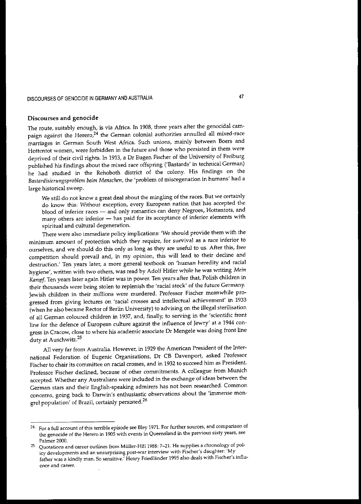### Discourses and genocide

The route, suitably enough, is via Africa. In 1908, three years after the genocidal campaign against the Herero,<sup>24</sup> the German colonial authorities annulled all mixed-race marriages in German South West Africa. Such unions, mainly between Boers and Hottentot women, were forbidden in the future and those who persisted in them were deprived of their civil rights. In 1913, a Dr Eugen Fischer of the University of Freiburg published his findings about the mixed race offspring ('Bastards' in technical German) he had studied in the Rehoboth district of the colony. His findings on the *Bastardisierungsproblem beim Menschen,* the 'problem of miscegenation in humans' had a large historical sweep.

We still do not know a great deal about the mingling of the races. But we certainly do know this: Without exception, every European nation that has accepted the blood of inferior races - and only romantics can deny Negroes, Hottentots, and many others are inferior - has paid for its acceptance of inferior elements with spiritual and cultural degeneration.

There were also immediate policy implications: 'We should provide them with the minimum amount of protection which they require, for survival as a race inferior to ourselves, and we should do this only as long as they are useful to us. After this, free competition should prevail and, in my opinion, this will lead to their decline and destruction.' Ten years later, a more general textbook on 'human heredity and racial hygiene', written with two others, was read by Adolf Hitler while he was writing *Mein Kampj.* Ten years later again Hitler was in power. Ten years after that, Polish children in their thousands were being stolen to replenish the 'racial stock' of the future Germany. Jewish children in their millions were murdered. Professor Fischer meanwhile progressed from giving lectures on 'racial crosses and intellectual achievement' in 1933 (when he also became Rector of Berlin University) to advising on the illegal sterilisation of all German coloured children in 1937, and, finally, to serving in the 'scientific front line for the defence of European culture against the influence of Jewry' at a 1944 congress in Cracow, close to where his academic associate Dr Mengele was doing front line duty at Auschwitz.<sup>25</sup>

All very far from Australia. However, in 1929 the American President of the International Federation of Eugenic Organisations, Dr CB Davenport, asked Professor Fischer to chair its committee on racial crosses, and in 1932 to succeed him as President. Professor Fischer declined, because of other commitments. A colleague from Munich accepted. Whether any Australians were included in the exchange of ideas between the German stars and their English-speaking admirers has not been researched. Common concerns, going back to Darwin's enthusiastic observations about the 'immense mongrel population' of Brazil, certainly persisted.<sup>26</sup>

<sup>&</sup>lt;sup>24.</sup> For a full account of this terrible episode see Bley 1971. For further sources, and comparison of the genocide of the Herero in 1905 with events in Queensland in the previous sixty years, see Palmer *2000.*

<sup>25.</sup> Quotations and career outlines from Müller-Hill 1988: 7-21. He supplies a chronology of poliey developments and an unsurprising post-war interview with Fischer's daughter: 'My father was a kindly man. So sensitive: Henry Friedlander 1995 also deals with Fischer's influence and career.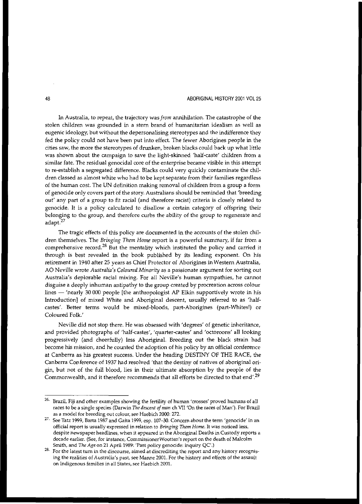In Australia, to repeat, the trajectory was *from* annihilation. The catastrophe of the **stolen children was grounded in a stern brand of humanitarian idealism as well as** eugenic ideology, but without the depersonalising stereotypes and the indifference they fed the policy could not have been put into effect. The fewer Aborigines people in the cities saw, the more the stereotypes of drunken, broken blacks could back up what little was shown about the campaign to save the light-skinned 'half-caste' children from a **similar fate. The residual genocidal core of the enterprise became visible in this attempt** to re-establish a segregated difference. Blacks could very quickly contaminate the children classed as almost white who had to be kept separate from their families regardless of the human cost. The UN definition making removal of children from a group a form of genocide only covers part of the story. Australians should be reminded that 'breeding out' any part of a group to fit racial (and therefore racist) criteria is closely related to genocide. It is a policy calculated to disallow a certain category of offspring their **belonging to the group, and therefore curbs the ability of the group to regenerate and** adapt.<sup>27</sup>

The tragic effects of this policy are documented in the accounts of the stolen children themselves. The *Bringing Them Home* report is a powerful summary, if far from a **comprehensive record. <sup>28</sup> But the mentality which instituted the policy and carried it** through is best revealed in the book published by its leading exponent. On his retirement in 1940 after 25 years as Chief Protector of Aborigines inWestern Australia, AO Neville wrote *Australia's Coloured Minority* as a passionate argument for sorting out **Australia's deplorable racial mixing. For all Neville's human sympathies, he cannot** disguise a deeply inhuman antipathy to the group created by procreation across colour lines - 'nearly 30 000 people [the anthropologist AP Elkin supportively wrote in his Introduction] of mixed White and Aboriginal descent, usually referred to as 'halfcastes'. Better terms would be mixed-bloods, part-Aborigines (part-Whites!) or Coloured Folk.'

Neville did not stop there. He was obsessed with 'degrees' of genetic inheritance, and provided photographs of 'half-castes', 'quarter-castes' and 'octoroons' all looking progressively (and cheerfully) less Aboriginal. Breeding out the black strain had become his mission, and he counted the adoption of his policy by an official conference at Canberra as his greatest success. Under the heading DESTINY OF THE RACE, the **Canberra Conference of 1937 had resolved 'that the destiny of natives of aboriginal ori**gin, but not of the full blood, lies in their ultimate absorption by the people of the Commonwealth, and it therefore recommends that all efforts be directed to that end'.<sup>29</sup>

**<sup>26.</sup> Brazil, Fiji and other examples showing the fertility of human 'crosses' proved humans of all** races to be a single species (Darwin The descent of man ch VII 'On the races of Man'). For Brazil **as a model for breeding out colour, see Haebich 2000: 272.**

**<sup>27.</sup> See Tatz 1999, Barta 1987 and Gaita 1999, esp. 107-30. Concern about the term 'genocide' in an official report is usually expressed in relation to** *Bringing Them Home.* **It was noticed less, despite newspaper headlines, when it appeared in the Aboriginal Deaths in Custody reports a decade earlier. (See, for instance, CommissionerWootten's report on the death of Malcolm** Smith, and *The Age* on 21 April 1989: 'Past policy genocide: inquiry QC'.)

**<sup>28.</sup> For the latest turn in the discourse, aimed at discrediting the report and any history recognising the realities of Australia's past, see Manne 2001. For the history and effects of the assault on Indigenous families in all States, see Haebich 2001.**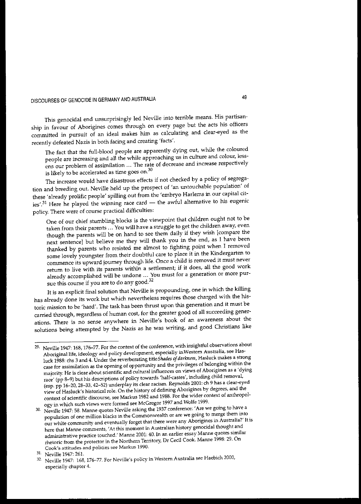This genocidal end unsurprisingly led Neville into terrible means. His partisanship in favour of Aborigines comes through on every page but the acts his officers committed in pursuit of an ideal makes him as calculating and clear-eyed as the recently defeated Nazis in both facing and creating 'facts'.

The fact that the full-blood people are apparently dying out, while the coloured **people are increasing and all the while approaching us in culture and colour, lessens our problem of assimilation ... The rate of decrease and increase respectively is likely to be accelerated as time goes on. 3D**

The increase would have disastrous effects if not checked by a policy of segregation and breeding out. Neville held up the prospect of 'an untouchable population' of these 'already prolific people' spilling out from the 'embryo Harlems in our capital cities'.<sup>31</sup> Here he played the winning race card  $-$  the awful alternative to his eugenic **policy. There were of course practical difficulties:**

One of our chief stumbling blocks is the viewpoint that children ought not to be taken from their parents ... You will have a struggle to get the children away, even though the parents will be on hand to see them daily if they wish [compare the next sentence] but believe me they will thank you in the end, as I have been thanked by parents who resisted me almost to fighting point when I removed some lovely youngster from their doubtful care to place it in the Kindergarten to **commence its upward journey through life. Once a child is removed it must never** return to live with its parents within a settlement; if it does, all the good work **already accomplished will be undone ... You must for a generation or more pur**sue this course if you are to do any good.<sup>32</sup>

It is an explicit final solution that Neville is propounding, one in which the killing has already done its work but which nevertheless requires those charged with the his**toric mission to be 'hard'. The task has been thrust upon this generation and it must be** carried through, regardless of human cost, for the greater good of all succeeding gener**ations. There is no sense anywhere in Neville's book of an awareness about the** solutions being attempted by the Nazis as he was writing, and good Christians like

**<sup>29.</sup> Neville 1947: 168, 176-77. For the context of the conference, with insightful observations about** Aboriginal life, **ideology and policy development, especially inWestern Australia, see Hasluck 1988: chs 3 and 4. Under the reverberating** titleShades *ojdarkness,* **Hasluck makes a strong case for assimilation as the opening of opportunity and the privileges of belonging within the majority. He is clear about scientific and cultural influences on views of Aborigines as a 'dying race' (pp 8-9) but his descriptions of policy towards 'half-castes', including child removal. (esp. pp 16--20, 28-33, 42-52) underplay its clear racism. Reynolds 2001: ch 9 has a dear-eyed view of Hasluck's historical role. On the history of defining Aborigines by degrees, and the context of scientific discourse, see Markus 1982 and 1988. For the wider context of anthropology in which such views were formed see McGregor 1997 and WoIfe 1999.**

**<sup>30.</sup> Neville 1947: 58. Manne quotes Neville asking the 1937 conference: <sup>I</sup> Are we going to have a population of one million blacks in the Commonwealth or are we going to merge them into our white community and eventually forget that there were any Aborigines in Australia?' It is here that MaIUle comments, 'At this moment in Australian history genocidal thought and administrative practice touched.' Marme 2001: 40. In an earlier essay Manne quotes similar rhetoric from the protector in the Northern Territory, Dr Cedl Cook. Manne 1998: 29. On Cook's attitudes and policies see Markus 1990.**

<sup>31.</sup> Neville 1947: 261.

**<sup>32.</sup> Neville ]947: 168,176-77. For Neville's policy in Western Australia see Haebich 2000, especially chapter 4.**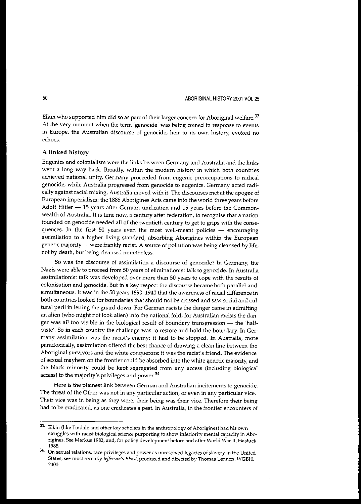Elkin who supported him did so as part of their larger concern for Aboriginal welfare.<sup>33</sup> **At the very moment when the term <sup>I</sup> genocide' was being coined in response to events in Europe, the Australian discourse of genocide, heir to its own history, evoked no echoes.**

#### A linked history

Eugenics and colonialism were the links between Germany and Australia and the links went a long way back. Broadly, within the modern history in which both countries **achieved national unity, Germany proceeded from eugenic preoccupations to radical genocide, while Australia progressed from genocide to eugenics. Germany acted radically against racial mixing, Australia moved with it. The discourses met at the apogee of** European imperialism: the 1886 Aborigines Acts came into the world three years before Adolf Hitler  $-$  15 years after German unification and 15 years before the Common**wealth of Australia. It is time now, a century after federation, to recognise that a nation** founded on genocide needed all of the twentieth century to get to grips with the conse**quences. In the first 50 years even the most well-meant policies - encouraging** assimilation to a higher living standard, absorbing Aborigines within the European genetic majority - were frankly racist. A source of pollution was being cleansed by life, not by death, but being cleansed nonetheless.

**So was the discourse of assimilation a discourse of genocide? In Germany, the** Nazis were able to proceed from 50 years of eliminationist talk to genocide. In Australia **assimilationist talk was developed over more than 50 years to cope with the results of colonisation and genocide. But in a key respect the discourse became both parallel and** simultaneous. It was in the 50 years 1890-1940 that the awareness of racial difference in both countries looked for boundaries that should not be crossed and saw social and cultural peril in letting the guard down. For German racists the danger came in admitting an alien (who might not look alien) into the national fold, for Australian racists the danger was all too visible in the biological result of boundary transgression - the 'halfcaste'. So in each country the challenge was to restore and hold the boundary. In Ger**many assimilation was the racist's enemy: it had to be stopped. In Australia, more** paradOXically, assimilation offered the best chance of drawing a clean line between the **Aboriginal survivors and the white conquerors: it was the racist's friend. The evidence** of sexual mayhem on the frontier could be absorbed into the white genetic majority, and the black minority could be kept segregated from any access (including biological access) to the majority's privileges and power.<sup>34</sup>

**Here is the plainest link between German and Australian incitements to genocide. The threat of the Other was not in any particular action, or even in any particular vice. Their vice was in being as they were; their being was their vice. Therefore their being had to be eradicated, as one eradicates a pest. In Australia, in the frontier encounters of**

<sup>33.</sup> **Elkin (like Tindale and other key scholars in the anthropology of Aborigines) had his own struggles with racist biological science purporting to show inferiority mental capacity in Aborigines. See Markus 1982, and, for policy development before and after World War H, Hasluck** 1988.

**<sup>34.</sup> On sexual relations, race privileges and power as unresolved legacies ofslavery in the United States, see most recently** */efferson's Blood,* **produced and directed by Thomas Lennon, WGBH,** 2000.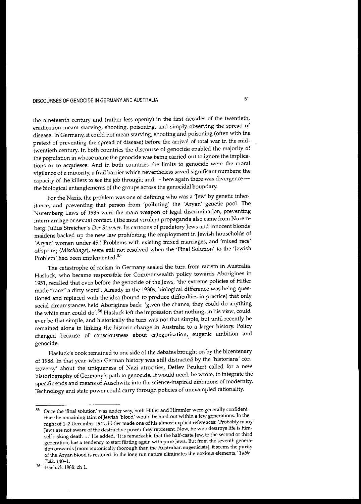the nineteenth century and (rather less openly) in the first decades of the twentieth, **eradication meant starving, shooting, poisoning, and simply observing the spread of** disease. In Germany, it could not mean starving, shooting and poisoning (often with the pretext of preventing the spread of disease) before the arrival of total war in the midtwentieth century. In both countries the discourse of genocide enabled the majority of **the population in whose name the genocide was being carried out to ignore the implications or to acquiesce. And in both countries the limits to genocide were the moral vigilance of a minority, a frail barrier which nevertheless saved significant numbers; the** capacity of the killers to see the job through; and  $-$  here again there was divergence  $$ the biological entanglements of the groups across the genocidal boundary.

For the Nazis, the problem was one of defining who was a 'Jew' by genetic inheritance, and preventing that person from 'polluting' the 'Aryan' genetic pool. The Nuremberg Laws of 1935 were the main weapon of legal discrimination, preventing **intermarriage or sexual contact. (The most virulent propaganda also came from Nuremberg: Julius Streicher's** *Der Stilrmer.* **Its cartoons of predatory Jews and innocent blonde** maidens backed up the new law prohibiting the employment in Jewish households of **'Aryan' women under 45.) Problems with existing mixed marriages, and 'mixed race'** offspring *(Mischlinge),* were still not resolved when the 'Final Solution' to the 'Jewish Problem' had been implemented.<sup>35</sup>

**The catastrophe of racism in Germany sealed the turn from racism in Australia. Hasluck, who became responsible for Commonwealth policy towards Aborigines in** 1951, recalled that even before the genocide of the Jews, 'the extreme policies of Hitler made "race" a dirty word'. Already in the 1930s, biological difference was being questioned and replaced with the idea (bound to produce difficulties in practice) that only social circumstances held Aborigines back: 'given the chance, they could do anything the white man could do'.<sup>36</sup> Hasluck left the impression that nothing, in his view, could ever be that simple, and historically the turn was not that simple, but until recently he remained alone in linking the historic change in Australia to a larger history. Policy **changed because of consciousness about categorisation,. eugenic ambition and genocide.**

Hasluck's book remained to one side of the debates brought on by the bicentenary of 1988. In that year, when German history was still distracted by the 'historians' controversy' about the uniqueness of Nazi atrocities, Detlev Peukert called for a new historiography of Germany's path to genocide. It would need, he wrote, to integrate the **specific ends and means of Auschwitz into the science-inspired ambitions of modernity.** Technology and state power could carry through policies of unexampled rationality.

**<sup>35.</sup> Once the 'final solution' was under way, both Hitler and Himmler were generally confident that the remaining taint of Jewish 'blood' would be bred out within a few generations. In the night of 1-2 December 1941, Hitler made one of his almost explicit references: 'Probably many Jews are not aware of the destructive power they represent. Now, he who destroys life is him**self risking death ...' He added, 'It is remarkable that the half-caste Jew, to the second or third **generation, has a tendency to start flirting again with pure Jews. But from the seventh generation onwards [more teutonically thorough than the Australian eugenicists}, it seems the purity of the Aryan blood is restored. In the long run nature eliminates the noxious elements.'** *Table* Talk,140-1.

**<sup>36.</sup> Hasluck 1988: ch 1.**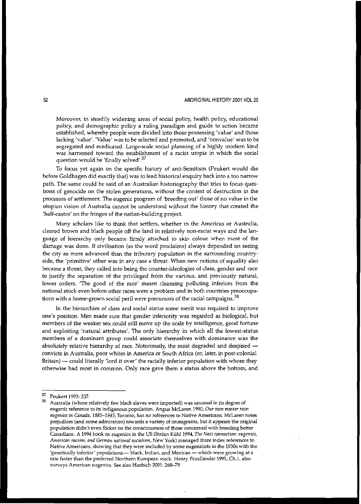**Moreover, in steadily widening areas of social policy, health policy, educational** policy, and demographic policy a ruling paradigm and guide to action became established, whereby people were divided into those possessing 'value' and those lacking 'value'. 'Value' was to be selected and promoted, and 'nonvalue' was to be segregated and eradicated. Large-scale social planning of a highly modem kind **was harnessed toward the establishment of a racist utopia in which the social** question would be 'finally solved'.<sup>37</sup>

To focus yet again On the specific history of anti-Semitism (Peukert would die before Goldhagen did exactly that) was to lead historical enquiry back into a too narrow path. The same could be said of an Australian historiography that tries to focus ques**tions of genocide on the stolen generations, without the context of destruction in the** processes of settlement. The eugenic program of 'breeding out' those of no value in the **utopian vision of Australia cannot be understood without the history that created the** 'half-castes' on the fringes of the nation-building project.

Many scholars like to think that settlers, whether in the Americas or Australia, cleared brown and black people off the land in relatively non-racist ways and the language of hierarchy only became firmly attached to skin colour when most of the damage was done. If civilisation (as the word proclaims) always depended on seeing **the city as more advanced than the tributary population in the surrounding countryside, the 'primitive' other was in any case a threat. When new notions of equality also** became a threat, they called into being the counter-ideologies of class, gender and race to justify the separation of the privileged from the various, and previously natural, lower orders. 'The good of the race' meant cleansing polluting inferiors from the **national stock even before other races were a problem and in both countries preoccupations with a home-grown social peril were precursors of the racial campaigns. 38**

**In the hierarchies of class and social status some merit was required to improve** one's position. Men made sure that gender inferiority was regarded as biological, but members of the weaker sex could still move up the scale by intelligence, good fortune and exploiting 'natural attributes'. The only hierarchy in which all the lowest-status **members of a dominant group could associate themselves with dominance was the** absolutely relative hierarchy of race. Notoriously, the most degraded and despised convicts in Australia, poor whites in America or South Africa (or, later, in post-eolonial Britain) - could literally 'lord it over' the racially inferior population with whom they otherwise had most in common. Only race gave them a status above the bottom, and

<sup>37.</sup> Peukert 1993: 237.

**<sup>38.</sup> Australia (where relatively few black slaves were imported) was W1usual in its degree of eugenic reference to its indigenous population. Angus McLaren 1990,** *Our own master race: eugenics in Canada,* **1885-1945, Toronto, has no references to Native Americans. McLarennotes prejudices (and some admiration) towards a variety of immigrants, but it appears the original population didn't even flicker on the consciousness of those concerned with breeding better Canadians. A 1994 book on eugenics in the US (Stefan Klihl1994,** *The Nazi connection: eugenics, American racism, and Germiln national socialism,* **New York) managed three index references to Native Americans, showing that they were included by some eugenicists in the 19305 with the 'genetically inferior' populations - black, Indian, and Mexican - which were growing at a rate faster than the preferred Northern European stock. Henry Friedhinder 1995, Ch.I, also surveys American eugenics. See also Haebich 2001: 268-79.**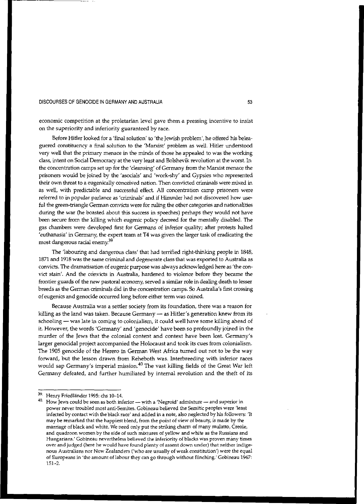**economic competition at the proletarian level gave them-a pressing incentive to insist on the superiority and inferiority guaranteed by race.**

Before Hitler looked for a 'final solution' to 'the Jewish problem', he offered his beleaguered constituency a final solution to the 'Marxist' problem as well. Hitler understood very well that the primary menace in the minds of those he appealed to was the working class, intent on Social Democracy at the very least and Bolshevik revolution at the worst. In the concentration camps set up for the 'cleansing' of Germany from the Marxist menace the prisoners would be joined by the 'asocials' and 'work-shy' and Gypsies who represented **their own threat to a eugenically conceived nation. Then convicted criminals were mixed in** as well, with predictable and successful effect All concentration camp prisoners were referred to in popular parlance as 'criminals' and if Himmler had not discovered how useful the green-triangle German convicts were for ruling the other categories and nationalities during the war (he boasted about this success in speeches) perhaps they would not have been secure from the killing which eugenic policy decreed for the mentally disabled. The gas chambers were developed first for Germans of inferior quality; after protests halted 'euthanasia' in Germany, the expert team at T4 was given the larger task of eradicating the **most dangerous racial enerny.39**

The 1abouring and dangerous class' that had terrified right-thinking people in 1848, 1871 and 1918 was the same criminal and degenerate class that was exported to Australia as convicts. The dramatisation of eugenic purpose was always acknowledged here as 'the convict stain'. And the convicts in Australia, hardened to violence before they became the frontier guards of the new pastoral economy, served a similar role in dealing death to lesser breeds as the German criminals did in the concentration camps. So Australia's first crossing of eugenics and genocide occurred long before either term was coined.

**Because Australia was a settler society from its foundation, there was a reason for** killing as the land was taken. Because Germany  $-$  as Hitler's generation knew from its schooling - was late in coming to colonialism, it could well have some killing ahead of it. However, the words 'Germany' and'genocide' have been so profoundly joined in the murder of the Jews that the colonial content and context have been lost. Germany's larger genocidal project accompanied the Holocaust and took its cues from colonialism. The 1905 genocide of the Herero in German West Africa turned out not to be the way **forward, but the lesson drawn from Reheboth was. Interbreeding with inferior races** would sap Germany's imperial mission.<sup>40</sup> The vast killing fields of the Great War left Germany defeated, and further humiliated by internal revolution and the theft of its

**<sup>39.</sup> Henry FriedUinder 1995: chs 10-14.**

**<sup>40.</sup> How Jews could be seen as both inferior - ';Vith a 'Negroid' admixture - and superior in power never troubled most anti-Semites. Gobineau believed the Semitic peoples were 'least infected by contact with the black race' and added in a note, also neglected by his followers: 'It may be remarked that the happiest blend, from the point of view of beauty, is made by the marriage** of black **and white. We need only put the striking charm of many mulatto, Creole, and quadroon women by the side of such mixtures of yellow and white as the Russians and Hungarians: Gobineau nevertheless believed the inferiority** of blacks **was proven many times over and judged (here he would have found plenty of assent down under) that neither indigenous Australians nor New Zealanders ('who are usually of weak constitution') were the equal of Europeans in 'the amount oflabour they can go through without flinching: Gobineau 1967:** 151-2.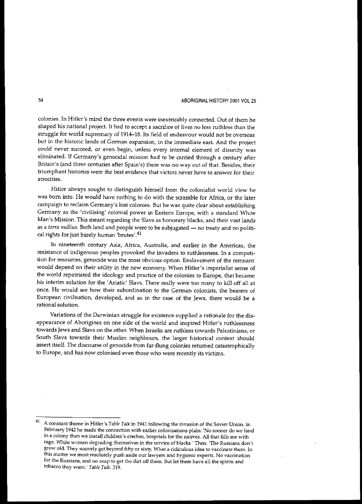**colonies. In Hitler's mind the three events were inextricably connected. Out of them he** shaped his national project. It had to accept a sacrifice of lives no less ruthless than the struggle for world supremacy of 1914-18. Its field of endeavour would not be overseas **but in the historic lands of German expansion, in the immediate east. And the project could never succeed, or even begin, unless every internal element of dislmity was eliminated. If Germany's genocidal mission had to be carried through a century after** Britain's (and three centuries after Spain's) there was no way out of that. Besides, their **triumphant histories were the best evidence that victors never have to answer for their atrocities.**

Hitler always sought to distinguish himself from the colonialist world view he was born into. He would have nothing to do with the scramble for Africa, or the later **campaign to reclaim Germany's lost colonies. But he was quite clear about establishing Germany as the 'civilising' colonial power in Eastern Europe, with a standard VVhite** Man's Mission. This meant regarding the Slavs as honorary blacks, and their vast lands as a *terra nullius*. Both land and people were to be subjugated - no treaty and no political rights for just barely human 'brutes'.<sup>41</sup>

**In nineteenth century Asia, Africa, Australia, and earlier in the Americas, the resistance of indigenous peoples provoked the invaders to ruthlessness. In a competition for resources, genocide was the most obvious option. Enslavement of the remnant** would depend on their utility in the new economy. When Hitler's imperialist sense of the world repatriated the ideology and practice of the colonies to Europe, that became his interim solution for the 'Asiatic' Slavs. There really were too many to kill off all at once. He would see how their subordination to the German colonists, the bearers of **European civilisation, developed, and as in the case of the Jews, there would be a rational solution.**

Variations of the Darwinian struggle for existence supplied a rationale for the disappearance of Aborigines on one side of the world and inspired Hitler's ruthlessness **towards Jews and Slavs on the other. When Israelis are ruthless towards Palestinians, or** South Slavs towards their Muslim neighbours, the larger historical context should assert itself. The discourse of genocide from far-flung colonies returned catastrophically **to Europe, and has now colonised even those who were recently its victims.**

**<sup>41.</sup> A constant theme in Hitler's** *Table Talk* **in 1941 following the invasion of the Soviet Union. In February 1942 he made the connection with earlier colonisations plain: 'No sooner do we land** in **a colony than we install children's creches, hospitals for the natives. All that fills me with rage. 'White women degrading themselves in the service** of blacks.' **Then: 'The Russians don't grow old. They scarcely get beyond fifty or sixty. What a ridiculous idea to vaccinate them. In this matter we must resolutely push aside our lawyers and hygienic experts. No vaccination** for the Russians, and no soap to get the dirt off them. But let them have all the spirits and **tobacco they want.'** *Table Talk: 319.*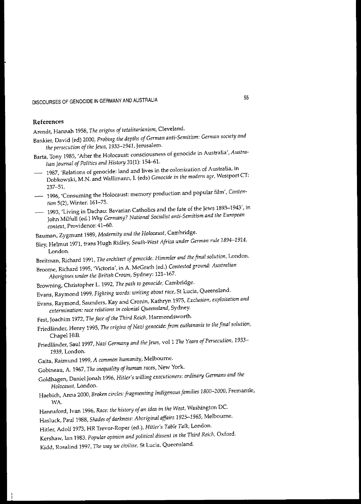### **References**

Arendt, Hannah 1958, *The origins of totalitarumism,* Cleveland.

- Bankier, David (ed) 2000, *Probing the depths of German anti-Semitism: German society and the persecution of the Jews,* 1933--1941, Jerusalem.
- Barta, Tony 1985,'After the Holocaust: consciousness of genocide in Australia', *Australian Journal of* Politics *and History* 31(1): 154-61.
- 1987, 'Relations of genocide: land and lives in the colonization of Australia, in Dobkowski, M.N. and Wallimann, I. (eds) *Genocide in the modern age,* Westport CT: 237-51.
- 1996, 'Consuming the Holocaust: memory production and popular film', *Contention* 5(2), Winter: 161-75.
- 1993, 'Living in Dachau: Bavarian Catholics and the fate of the Jews 1893--1943', in John Milfull (ed.) *Why Germany? National Socialist anti-Semitism and the European context,* Providence: 41-60.

Bauman, Zygmunt 1989, *Modernity and the Holocaust,* Cambridge.

Bley, Helmut 1971, trans Hugh Ridley, *South-West Africa under German rule 1894--1914,* London.

Breitman, Richard 1991, *The architect ofgenocide: Himmler and the final solution,* London.

- Broome, Richard 1995, 'Victoria', in A. McGrath (ed.) *Contested ground: Australian Aborigines under the British Crown,* Sydney: 121-167.
- Browning, Christopher L. 1992, *The path* to *genocide,* Cambridge.
- Evans, Raymond 1999, *Fighting words: writing about race,* St Lucia, Queensland.
- Evans, Raymond, Saunders, Kay and Cronin, Kathryn 1975, *Exclusion, exploitation and extermination: race relations in colonial Queensland,* **Sydney.**
- Fest, Joachim 1972, *The face of the Third Reich*, Harmondsworth.
- Friedlander, Henry 1995, *The origins ofNazi genocide: from euthanasia to the final solution,* Chapel Hill.
- Friedlander, Sau11997, *Nazi Gerrrumy and the Jews,* vol1 *The Years ofPersecution, 1933-* 1939, London.
- Gaita, Raimund 1999, *A common humanity,* Melbourne.
- Gobineau, A. 1967, *The inequality of human races,* New York.
- Goldhagen, Daniel Jonah 1996, *Hitler's willing executioners: ordinary Germans and the Holocaust,* London.
- Haebich, Anna 2000, *Broken circles: fragmenting Indigenous families* 1800-2000, Fremantle, WA.
- Hannaford, Ivan 1996, *Race: the history of an idea in the West,* Washington DC.
- Hasluck, Paul 1988, *Shades of darkness: Aboriginal affairs* 1925--1965, Melbourne.

Hitler, Adolf 1973, HR Trevor-Roper (ed.), Hitler's *Table Talk,* London.

Kershaw, lan 1983, *Popular opinion and political dissent in the Third Reich,* Oxford.

Kidd, Rosalind 1997, *The way we civilise,* St Lucia, Queensland.